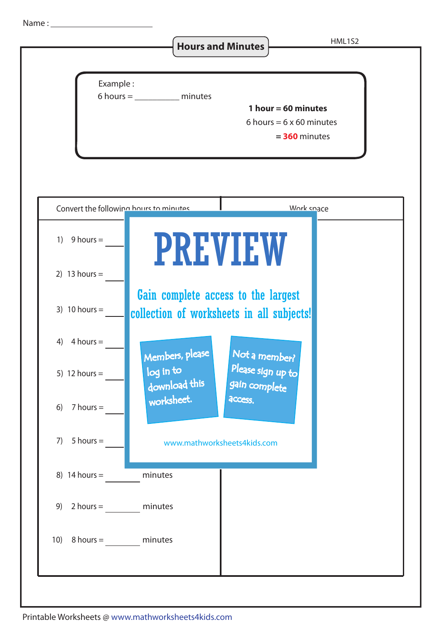Name :